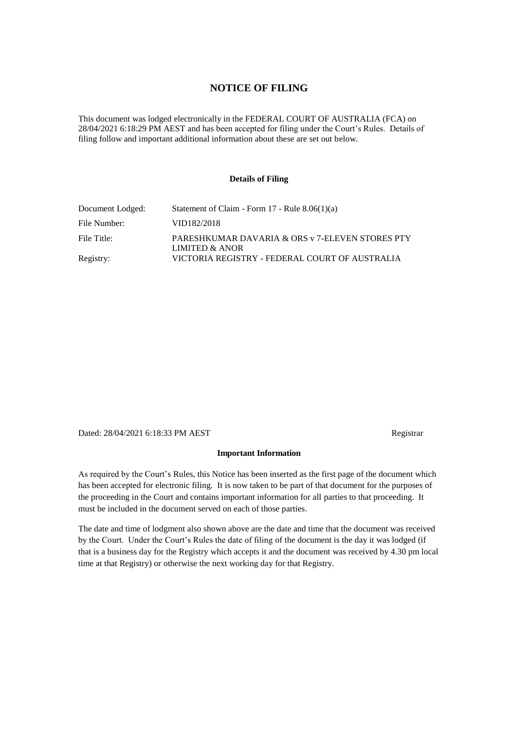### **NOTICE OF FILING**

This document was lodged electronically in the FEDERAL COURT OF AUSTRALIA (FCA) on 28/04/2021 6:18:29 PM AEST and has been accepted for filing under the Court's Rules. Details of filing follow and important additional information about these are set out below.

#### **Details of Filing**

| Document Lodged: | Statement of Claim - Form 17 - Rule 8.06(1)(a)                    |
|------------------|-------------------------------------------------------------------|
| File Number:     | VID182/2018                                                       |
| File Title:      | PARESHKUMAR DAVARIA & ORS v 7-ELEVEN STORES PTY<br>LIMITED & ANOR |
| Registry:        | VICTORIA REGISTRY - FEDERAL COURT OF AUSTRALIA                    |

Dated: 28/04/2021 6:18:33 PM AEST Registrar

#### **Important Information**

As required by the Court's Rules, this Notice has been inserted as the first page of the document which has been accepted for electronic filing. It is now taken to be part of that document for the purposes of the proceeding in the Court and contains important information for all parties to that proceeding. It must be included in the document served on each of those parties.

The date and time of lodgment also shown above are the date and time that the document was received by the Court. Under the Court's Rules the date of filing of the document is the day it was lodged (if that is a business day for the Registry which accepts it and the document was received by 4.30 pm local time at that Registry) or otherwise the next working day for that Registry.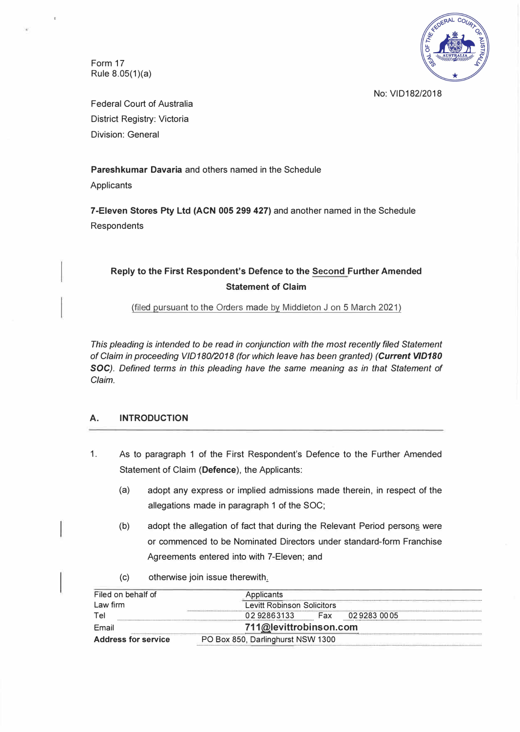Form 17 Rule  $8.05(1)(a)$ 



No: VID182/2018

Federal Court of Australia District Registry: Victoria Division: General

**Pareshkumar Davaria** and others named in the Schedule

**Applicants** 

**7-Eleven Stores Pty Ltd (ACN 005 299 427)** and another named in the Schedule Respondents

## **Reply to the First Respondent's Defence to the Second Further Amended Statement of Claim**

(filed pursuant to the Orders made by Middleton J on 5 March 2021)

*This pleading is intended to be read in conjunction with the most recently filed Statement of Claim in proceeding VID180/2018 (for which leave has been granted) (Current V/D180 SOC). Defined terms in this pleading have the same meaning as in that Statement of Claim.* 

#### **A. INTRODUCTION**

- 1. As to paragraph 1 of the First Respondent's Defence to the Further Amended Statement of Claim **(Defence),** the Applicants:
	- (a) adopt any express or implied admissions made therein, in respect of the allegations made in paragraph 1 of the SOC;
	- (b) adopt the allegation of fact that during the Relevant Period person§ were or commenced to be Nominated Directors under standard-form Franchise Agreements entered into with ?-Eleven; and
	- (c) otherwise join issue therewith.

| Filed on behalf of         | Applicants<br><b>Levitt Robinson Solicitors</b> |     |            |  |
|----------------------------|-------------------------------------------------|-----|------------|--|
| Law firm                   |                                                 |     |            |  |
| Tel                        | 0292863133                                      | Fax | 0292830005 |  |
| Email                      | 711@levittrobinson.com                          |     |            |  |
| <b>Address for service</b> | PO Box 850, Darlinghurst NSW 1300               |     |            |  |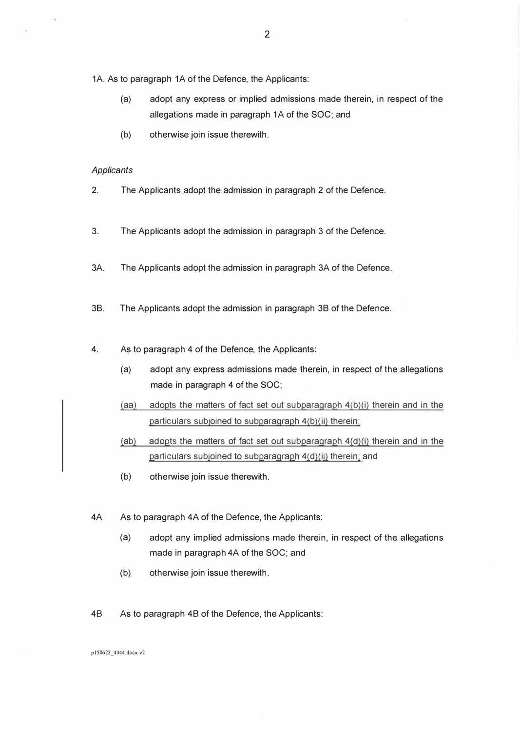1A. As to paragraph 1A of the Defence, the Applicants:

- (a) adopt any express or implied admissions made therein, in respect of the allegations made in paragraph 1A of the SOC; and
- (b) otherwise join issue therewith.

#### *Applicants*

- 2. The Applicants adopt the admission in paragraph 2 of the Defence.
- 3. The Applicants adopt the admission in paragraph 3 of the Defence.
- 3A. The Applicants adopt the admission in paragraph 3A of the Defence.
- 38. The Applicants adopt the admission in paragraph 38 of the Defence.
- 4. As to paragraph 4 of the Defence, the Applicants:
	- (a) adopt any express admissions made therein, in respect of the allegations made in paragraph 4 of the SOC;
	- (aa) adopts the matters of fact set out subparagraph  $4(b)(i)$  therein and in the particulars subjoined to subparagraph 4(b)(ii) therein;
	- (ab) adopts the matters of fact set out subparagraph  $4(d)(i)$  therein and in the particulars subjoined to subparagraph 4(d)(ii) therein; and
	- (b) otherwise join issue therewith.
- 4A As to paragraph 4A of the Defence, the Applicants:
	- (a) adopt any implied admissions made therein, in respect of the allegations made in paragraph 4A of the SOC; and
	- (b) otherwise join issue therewith.
- 48 As to paragraph 48 of the Defence, the Applicants:

pl50623 \_ 4444.docx v2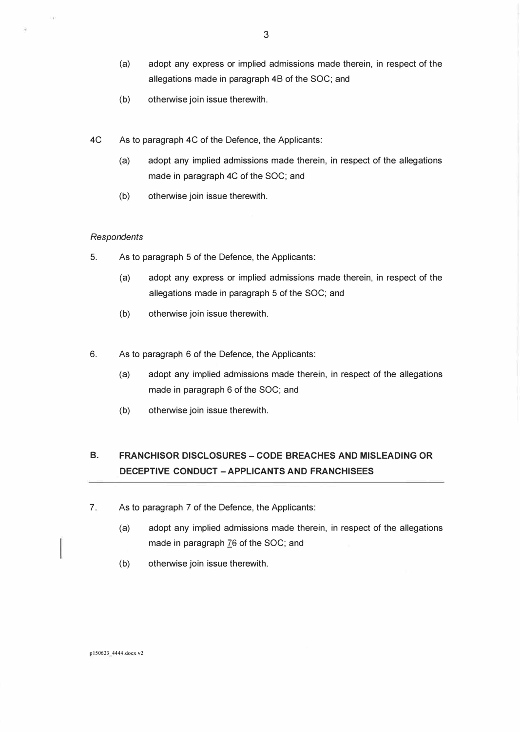- (a) adopt any express or implied admissions made therein, in respect of the allegations made in paragraph 48 of the SOC; and
- (b) otherwise join issue therewith.
- 4C As to paragraph 4C of the Defence, the Applicants:
	- (a) adopt any implied admissions made therein, in respect of the allegations made in paragraph 4C of the SOC; and
	- (b) otherwise join issue therewith.

#### *Respondents*

¥.

- 5. As to paragraph 5 of the Defence, the Applicants:
	- (a) adopt any express or implied admissions made therein, in respect of the allegations made in paragraph 5 of the SOC; and
	- (b) otherwise join issue therewith.
- 6. As to paragraph 6 of the Defence, the Applicants:
	- (a) adopt any implied admissions made therein, in respect of the allegations made in paragraph 6 of the SOC; and
	- (b) otherwise join issue therewith.

## **B. FRANCHISOR DISCLOSURES -CODE BREACHES AND MISLEADING OR DECEPTIVE CONDUCT -APPLICANTS AND FRANCHISEES**

- 7. As to paragraph 7 of the Defence, the Applicants:
	- (a) adopt any implied admissions made therein, in respect of the allegations made in paragraph 76 of the SOC; and
	- (b) otherwise join issue therewith.

p150623 \_ 4444.docx v2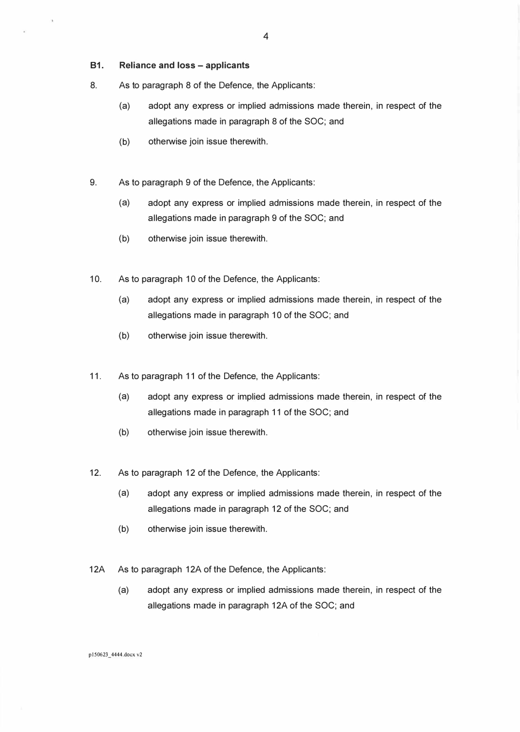**81. Reliance and loss - applicants** 

- 8. As to paragraph 8 of the Defence, the Applicants:
	- (a) adopt any express or implied admissions made therein, in respect of the allegations made in paragraph 8 of the SOC; and
	- (b) otherwise join issue therewith.
- 9. As to paragraph 9 of the Defence, the Applicants:
	- (a) adopt any express or implied admissions made therein, in respect of the allegations made in paragraph 9 of the SOC; and
	- (b) otherwise join issue therewith.
- 10. As to paragraph 10 of the Defence, the Applicants:
	- (a) adopt any express or implied admissions made therein, in respect of the allegations made in paragraph 10 of the SOC; and
	- (b) otherwise join issue therewith.
- 11. As to paragraph 11 of the Defence, the Applicants:
	- (a) adopt any express or implied admissions made therein, in respect of the allegations made in paragraph 11 of the SOC; and
	- (b) otherwise join issue therewith.
- 12. As to paragraph 12 of the Defence, the Applicants:
	- (a) adopt any express or implied admissions made therein, in respect of the allegations made in paragraph 12 of the SOC; and
	- (b) otherwise join issue therewith.
- 12A As to paragraph 12A of the Defence, the Applicants:
	- (a) adopt any express or implied admissions made therein, in respect of the allegations made in paragraph 12A of the SOC; and

p150623 4444.docx v2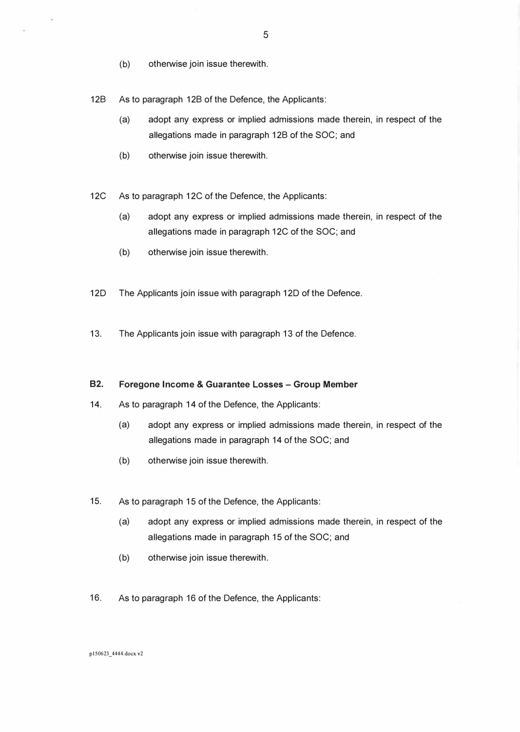(b) otherwise join issue therewith.

128 As to paragraph 128 of the Defence, the Applicants:

- (a) adopt any express or implied admissions made therein, in respect of the allegations made in paragraph 128 of the SOC; and
- (b) otherwise join issue therewith.
- 12C As to paragraph 12C of the Defence, the Applicants:
	- (a) adopt any express or implied admissions made therein, in respect of the allegations made in paragraph 12C of the SOC; and
	- (b) otherwise join issue therewith.
- 120 The Applicants join issue with paragraph 120 of the Defence.
- 13. The Applicants join issue with paragraph 13 of the Defence.

#### **82. Foregone Income & Guarantee Losses - Group Member**

- 14. As to paragraph 14 of the Defence, the Applicants:
	- (a) adopt any express or implied admissions made therein, in respect of the allegations made in paragraph 14 of the SOC; and
	- (b) otherwise join issue therewith.
- 15. As to paragraph 15 of the Defence, the Applicants:
	- (a) adopt any express or implied admissions made therein, in respect of the allegations made in paragraph 15 of the SOC; and
	- (b) otherwise join issue therewith.
- 16. As to paragraph 16 of the Defence, the Applicants:

5

pl50623\_4444.docx v2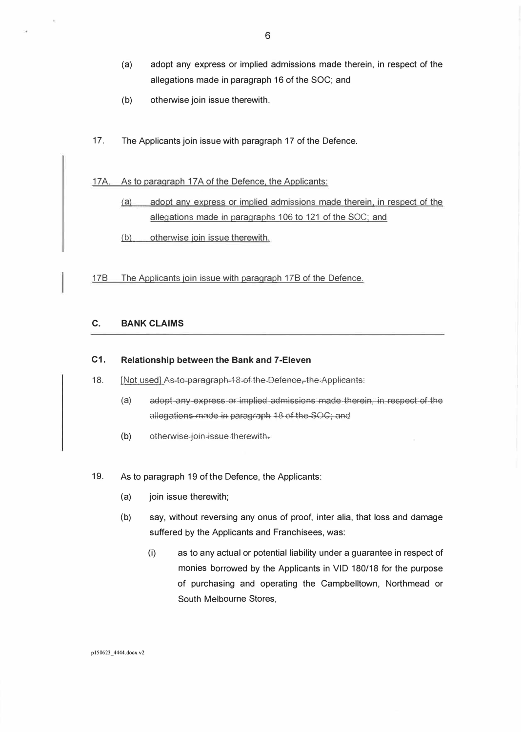- (a) adopt any express or implied admissions made therein, in respect of the allegations made in paragraph 16 of the SOC; and
- (b) otherwise join issue therewith.
- 17. The Applicants join issue with paragraph 17 of the Defence.

17A. As to paragraph 17A of the Defence, the Applicants:

- (a) adopt any express or implied admissions made therein, in respect of the allegations made in paragraphs 106 to 121 of the SOC; and
- (b) otherwise ioin issue therewith.

178 The Applicants join issue with paragraph 178 of the Defence.

### **C. BANK CLAIMS**

#### **C1. Relationship between the Bank and 7-Eleven**

- 18. [Not used] As to paragraph 18 of the Defence, the Applicants:
	- (a) adopt any express or implied admissions made therein, in respect of the allegations made in paragraph 18 of the SOC; and
	- (b) otherwise join issue therewith.
- 19. As to paragraph 19 of the Defence, the Applicants:
	- (a) join issue therewith;
	- (b) say, without reversing any onus of proof, inter alia, that loss and damage suffered by the Applicants and Franchisees, was:
		- (i) as to any actual or potential liability under a guarantee in respect of monies borrowed by the Applicants in VID 180/18 for the purpose of purchasing and operating the Campbelltown, Northmead or South Melbourne Stores,

p150623 4444.docx v2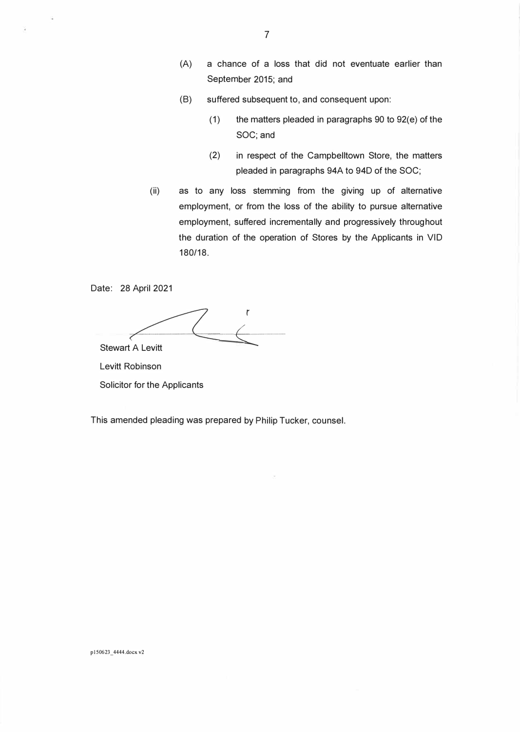- (A) a chance of a loss that did not eventuate earlier than September 2015; and
- (8) suffered subsequent to, and consequent upon:
	- (1) the matters pleaded in paragraphs 90 to 92(e) of the SOC; and
	- (2) in respect of the Campbelltown Store, the matters pleaded in paragraphs 94A to 94D of the SOC;
- (ii) as to any loss stemming from the giving up of alternative employment, or from the loss of the ability to pursue alternative employment, suffered incrementally and progressively throughout the duration of the operation of Stores by the Applicants in VID 180/18.

Date: 28 April 2021

Stewart A Levitt  $\overline{\mathcal{L}}$ 

Levitt Robinson

Solicitor for the Applicants

This amended pleading was prepared by Philip Tucker, counsel.

p 150623 \_ 4444.docx v2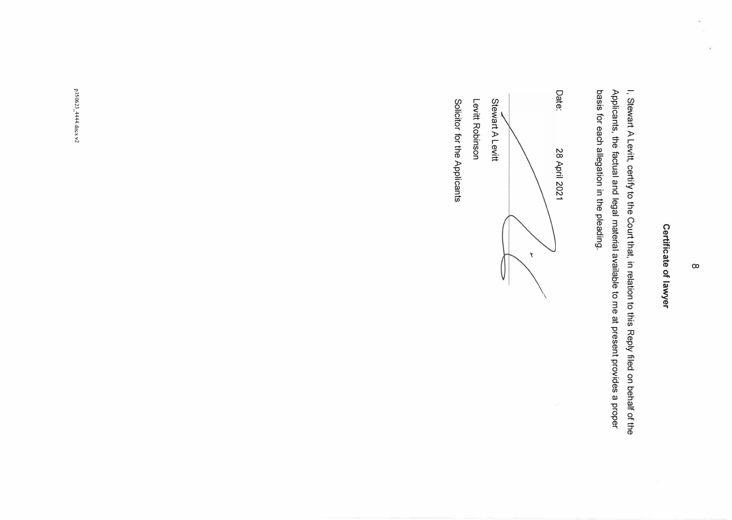# Certificate of lawyer **Certificate of lawyer**

I, Stewart A Levitt, certify to the Court that, in relation to this Reply filed on behalf of the basis for each allegation in the pleading. Applicants, the factual and legal material available to me at present provides a proper basis for each allegation in the pleading. Applicants, the factual and legal material available to me at present provides a proper I, Stewart A Levitt, certify to the Court that, in relation to this Reply filed on behalf of the

Date: Date: 28 April 2021 Stewart A Levitt Stewart A Levitt 28 April 2021  $\boldsymbol{\tau}$ 

Levitt Robinson Levitt Robinson

Solicitor for the Applicants Solicitor for the Applicants

p150623\_444.docx v2 pl50623 \_ 4444.docx v2

g.

οğ,